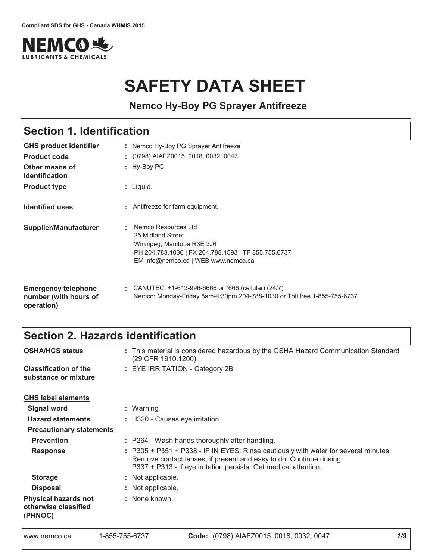

# **SAFETY DATA SHEET**

**Nemco Hy-Boy PG Sprayer Antifreeze**

#### : Liquid. GHS product identifier **Other means of 
Product type** Section 1. Identification Nemco Hy-Boy PG Sprayer Antifreeze Hy-Boy PG **Product code**  $\qquad$ **: Identified uses Emergency telephone** number (with hours of operation) CANUTEC: +1-613-996-6666 or \*666 (cellular) (24/7) Antifreeze for farm equipment. **Supplier/Manufacturer :** (0798) AIAFZ0015, 0018, 0032, 0047 Nemco Resources Ltd 25 Midland Street Winnipeg, Manitoba R3E 3J6 PH 204.788.1030 | FX 204.788.1593 | TF 855.755.6737 EM info@nemco.ca | WEB www.nemco.ca Nemco: Monday-Friday 8am-4:30pm 204-788-1030 or Toll free 1-855-755-6737

# Section 2. Hazards identification

| <b>OSHA/HCS status</b>                                         | : This material is considered hazardous by the OSHA Hazard Communication Standard<br>(29 CFR 1910.1200).                                                                                                                       |
|----------------------------------------------------------------|--------------------------------------------------------------------------------------------------------------------------------------------------------------------------------------------------------------------------------|
| <b>Classification of the</b><br>substance or mixture           | : EYE IRRITATION - Category 2B                                                                                                                                                                                                 |
| <b>GHS label elements</b>                                      |                                                                                                                                                                                                                                |
| <b>Signal word</b>                                             | : Warning                                                                                                                                                                                                                      |
| <b>Hazard statements</b>                                       | : H320 - Causes eye irritation.                                                                                                                                                                                                |
| <b>Precautionary statements</b>                                |                                                                                                                                                                                                                                |
| <b>Prevention</b>                                              | : P264 - Wash hands thoroughly after handling.                                                                                                                                                                                 |
| <b>Response</b>                                                | : P305 + P351 + P338 - IF IN EYES: Rinse cautiously with water for several minutes.<br>Remove contact lenses, if present and easy to do. Continue rinsing.<br>P337 + P313 - If eye irritation persists: Get medical attention. |
| <b>Storage</b>                                                 | : Not applicable.                                                                                                                                                                                                              |
| <b>Disposal</b>                                                | : Not applicable.                                                                                                                                                                                                              |
| <b>Physical hazards not</b><br>otherwise classified<br>(PHNOC) | : None known.                                                                                                                                                                                                                  |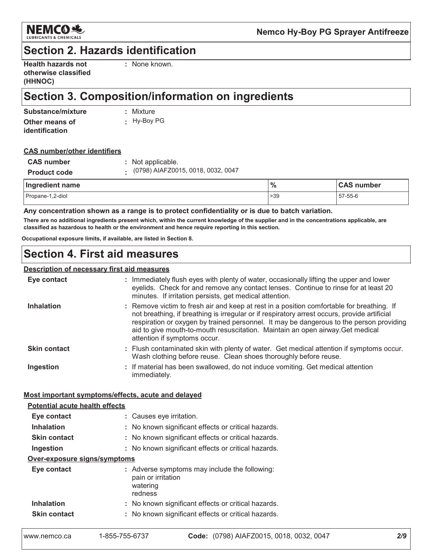

## **Section 2. Hazards identification**

| <b>Health hazards not</b> |
|---------------------------|
| otherwise classified      |
| (HHNOC)                   |

: None known.

# Section 3. Composition/information on ingredients

| Substance/mixture | : Mixture   |
|-------------------|-------------|
| Other means of    | : Hy-Boy PG |
| identification    |             |

#### **CAS number/other identifiers**

| <b>CAS number</b>   | : Not applicable.                    |
|---------------------|--------------------------------------|
| <b>Product code</b> | . (0798) AIAFZ0015, 0018, 0032, 0047 |
| Ingradiant nama     |                                      |

| Ingredient name  | $\frac{0}{0}$ | <b>CAS</b><br>number |  |  |
|------------------|---------------|----------------------|--|--|
| Propane-1,2-diol | >39           | 57-55-6              |  |  |

Any concentration shown as a range is to protect confidentiality or is due to batch variation.

There are no additional ingredients present which, within the current knowledge of the supplier and in the concentrations applicable, are classified as hazardous to health or the environment and hence require reporting in this section.

Occupational exposure limits, if available, are listed in Section 8.

### **Section 4. First aid measures**

#### **Description of necessary first aid measures**

| Eye contact         | : Immediately flush eyes with plenty of water, occasionally lifting the upper and lower<br>eyelids. Check for and remove any contact lenses. Continue to rinse for at least 20<br>minutes. If irritation persists, get medical attention.                                                                                                                                                              |
|---------------------|--------------------------------------------------------------------------------------------------------------------------------------------------------------------------------------------------------------------------------------------------------------------------------------------------------------------------------------------------------------------------------------------------------|
| <b>Inhalation</b>   | : Remove victim to fresh air and keep at rest in a position comfortable for breathing. If<br>not breathing, if breathing is irregular or if respiratory arrest occurs, provide artificial<br>respiration or oxygen by trained personnel. It may be dangerous to the person providing<br>aid to give mouth-to-mouth resuscitation. Maintain an open airway. Get medical<br>attention if symptoms occur. |
| <b>Skin contact</b> | : Flush contaminated skin with plenty of water. Get medical attention if symptoms occur.<br>Wash clothing before reuse. Clean shoes thoroughly before reuse.                                                                                                                                                                                                                                           |
| Ingestion           | : If material has been swallowed, do not induce vomiting. Get medical attention<br>immediately.                                                                                                                                                                                                                                                                                                        |

#### Most important symptoms/effects, acute and delayed

| <b>Potential acute health effects</b> |                                                                                            |  |  |  |  |  |  |  |
|---------------------------------------|--------------------------------------------------------------------------------------------|--|--|--|--|--|--|--|
| Eye contact                           | : Causes eye irritation.                                                                   |  |  |  |  |  |  |  |
| <b>Inhalation</b>                     | : No known significant effects or critical hazards.                                        |  |  |  |  |  |  |  |
| <b>Skin contact</b>                   | : No known significant effects or critical hazards.                                        |  |  |  |  |  |  |  |
| Ingestion                             | : No known significant effects or critical hazards.                                        |  |  |  |  |  |  |  |
| Over-exposure signs/symptoms          |                                                                                            |  |  |  |  |  |  |  |
| Eye contact                           | : Adverse symptoms may include the following:<br>pain or irritation<br>watering<br>redness |  |  |  |  |  |  |  |
| <b>Inhalation</b>                     | : No known significant effects or critical hazards.                                        |  |  |  |  |  |  |  |
| <b>Skin contact</b>                   | : No known significant effects or critical hazards.                                        |  |  |  |  |  |  |  |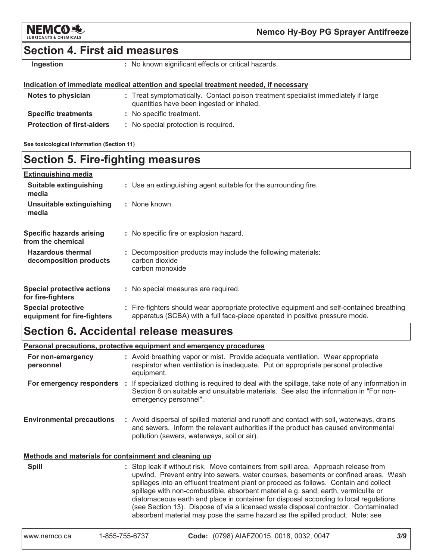

### **Section 4. First aid measures**

Ingestion

: No known significant effects or critical hazards.

#### Indication of immediate medical attention and special treatment needed, if necessary

| Notes to physician                | : Treat symptomatically. Contact poison treatment specialist immediately if large<br>quantities have been ingested or inhaled. |
|-----------------------------------|--------------------------------------------------------------------------------------------------------------------------------|
| <b>Specific treatments</b>        | : No specific treatment.                                                                                                       |
| <b>Protection of first-aiders</b> | : No special protection is required.                                                                                           |

See toxicological information (Section 11)

## **Section 5. Fire-fighting measures**

| <b>Extinguishing media</b>                               |                                                                                                                                                                          |
|----------------------------------------------------------|--------------------------------------------------------------------------------------------------------------------------------------------------------------------------|
| <b>Suitable extinguishing</b><br>media                   | : Use an extinguishing agent suitable for the surrounding fire.                                                                                                          |
| Unsuitable extinguishing<br>media                        | : None known.                                                                                                                                                            |
| <b>Specific hazards arising</b><br>from the chemical     | : No specific fire or explosion hazard.                                                                                                                                  |
| <b>Hazardous thermal</b><br>decomposition products       | : Decomposition products may include the following materials:<br>carbon dioxide<br>carbon monoxide                                                                       |
| <b>Special protective actions</b><br>for fire-fighters   | : No special measures are required.                                                                                                                                      |
| <b>Special protective</b><br>equipment for fire-fighters | : Fire-fighters should wear appropriate protective equipment and self-contained breathing<br>apparatus (SCBA) with a full face-piece operated in positive pressure mode. |

### **Section 6. Accidental release measures**

Personal precautions, protective equipment and emergency procedures

| For non-emergency<br>personnel                        | : Avoid breathing vapor or mist. Provide adequate ventilation. Wear appropriate<br>respirator when ventilation is inadequate. Put on appropriate personal protective<br>equipment.                                                                                                                                                                                                                                                                                                                                                                                                                                         |  |  |  |  |  |  |
|-------------------------------------------------------|----------------------------------------------------------------------------------------------------------------------------------------------------------------------------------------------------------------------------------------------------------------------------------------------------------------------------------------------------------------------------------------------------------------------------------------------------------------------------------------------------------------------------------------------------------------------------------------------------------------------------|--|--|--|--|--|--|
|                                                       | For emergency responders : If specialized clothing is required to deal with the spillage, take note of any information in<br>Section 8 on suitable and unsuitable materials. See also the information in "For non-<br>emergency personnel".                                                                                                                                                                                                                                                                                                                                                                                |  |  |  |  |  |  |
| <b>Environmental precautions</b>                      | : Avoid dispersal of spilled material and runoff and contact with soil, waterways, drains<br>and sewers. Inform the relevant authorities if the product has caused environmental<br>pollution (sewers, waterways, soil or air).                                                                                                                                                                                                                                                                                                                                                                                            |  |  |  |  |  |  |
| Methods and materials for containment and cleaning up |                                                                                                                                                                                                                                                                                                                                                                                                                                                                                                                                                                                                                            |  |  |  |  |  |  |
| <b>Spill</b>                                          | : Stop leak if without risk. Move containers from spill area. Approach release from<br>upwind. Prevent entry into sewers, water courses, basements or confined areas. Wash<br>spillages into an effluent treatment plant or proceed as follows. Contain and collect<br>spillage with non-combustible, absorbent material e.g. sand, earth, vermiculite or<br>diatomaceous earth and place in container for disposal according to local regulations<br>(see Section 13). Dispose of via a licensed waste disposal contractor. Contaminated<br>absorbent material may pose the same hazard as the spilled product. Note: see |  |  |  |  |  |  |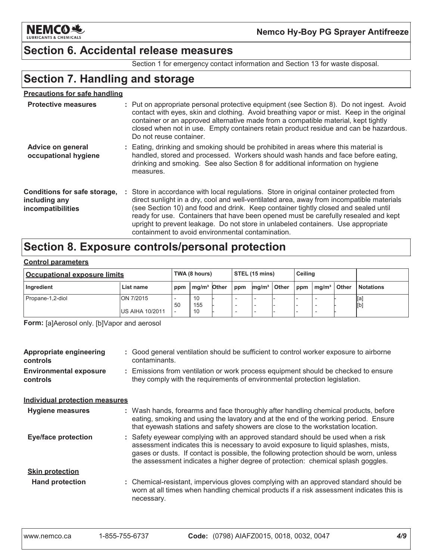

### **Section 6. Accidental release measures**

Section 1 for emergency contact information and Section 13 for waste disposal.

# **Section 7. Handling and storage**

#### **Precautions for safe handling**

| <b>Protective measures</b>                                         | : Put on appropriate personal protective equipment (see Section 8). Do not ingest. Avoid<br>contact with eyes, skin and clothing. Avoid breathing vapor or mist. Keep in the original<br>container or an approved alternative made from a compatible material, kept tightly<br>closed when not in use. Empty containers retain product residue and can be hazardous.<br>Do not reuse container.                                                                                                              |
|--------------------------------------------------------------------|--------------------------------------------------------------------------------------------------------------------------------------------------------------------------------------------------------------------------------------------------------------------------------------------------------------------------------------------------------------------------------------------------------------------------------------------------------------------------------------------------------------|
| Advice on general<br>occupational hygiene                          | : Eating, drinking and smoking should be prohibited in areas where this material is<br>handled, stored and processed. Workers should wash hands and face before eating,<br>drinking and smoking. See also Section 8 for additional information on hygiene<br>measures.                                                                                                                                                                                                                                       |
| Conditions for safe storage,<br>including any<br>incompatibilities | : Store in accordance with local regulations. Store in original container protected from<br>direct sunlight in a dry, cool and well-ventilated area, away from incompatible materials<br>(see Section 10) and food and drink. Keep container tightly closed and sealed until<br>ready for use. Containers that have been opened must be carefully resealed and kept<br>upright to prevent leakage. Do not store in unlabeled containers. Use appropriate<br>containment to avoid environmental contamination |

# Section 8. Exposure controls/personal protection

#### **Control parameters**

| <b>Occupational exposure limits</b> |                                      |                                | TWA (8 hours)   |     |                              | $\vert$ STEL (15 mins) |                                  |  | Ceiling |                  |            |
|-------------------------------------|--------------------------------------|--------------------------------|-----------------|-----|------------------------------|------------------------|----------------------------------|--|---------|------------------|------------|
| Ingredient                          | List name                            | mg/m <sup>3</sup> Other<br>ppm |                 | ppm | ∣ Other<br>mq/m <sup>3</sup> |                        | <b>Other</b><br>$ppm \mid mg/m3$ |  |         | <b>Notations</b> |            |
| Propane-1,2-diol                    | ON 7/2015<br><b>IUS AIHA 10/2011</b> | 50<br>$\overline{\phantom{a}}$ | 10<br>155<br>10 |     |                              |                        |                                  |  |         |                  | Įa,<br>[b] |

Form: [a]Aerosol only. [b]Vapor and aerosol

| Appropriate engineering<br>controls       |  | : Good general ventilation should be sufficient to control worker exposure to airborne<br>contaminants.                                                                                                                                                                                                                                               |
|-------------------------------------------|--|-------------------------------------------------------------------------------------------------------------------------------------------------------------------------------------------------------------------------------------------------------------------------------------------------------------------------------------------------------|
| <b>Environmental exposure</b><br>controls |  | : Emissions from ventilation or work process equipment should be checked to ensure<br>they comply with the requirements of environmental protection legislation.                                                                                                                                                                                      |
| <b>Individual protection measures</b>     |  |                                                                                                                                                                                                                                                                                                                                                       |
| <b>Hygiene measures</b>                   |  | : Wash hands, forearms and face thoroughly after handling chemical products, before<br>eating, smoking and using the lavatory and at the end of the working period. Ensure<br>that eyewash stations and safety showers are close to the workstation location.                                                                                         |
| <b>Eye/face protection</b>                |  | : Safety eyewear complying with an approved standard should be used when a risk<br>assessment indicates this is necessary to avoid exposure to liquid splashes, mists,<br>gases or dusts. If contact is possible, the following protection should be worn, unless<br>the assessment indicates a higher degree of protection: chemical splash goggles. |
| <b>Skin protection</b>                    |  |                                                                                                                                                                                                                                                                                                                                                       |
| <b>Hand protection</b>                    |  | : Chemical-resistant, impervious gloves complying with an approved standard should be<br>worn at all times when handling chemical products if a risk assessment indicates this is<br>necessary.                                                                                                                                                       |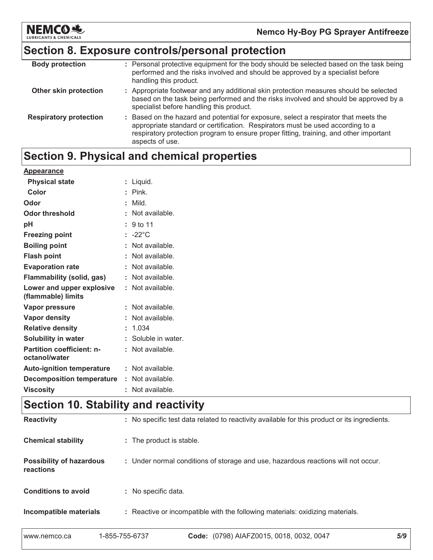

## Section 8. Exposure controls/personal protection

| <b>Body protection</b>        | : Personal protective equipment for the body should be selected based on the task being<br>performed and the risks involved and should be approved by a specialist before<br>handling this product.                                                                                 |
|-------------------------------|-------------------------------------------------------------------------------------------------------------------------------------------------------------------------------------------------------------------------------------------------------------------------------------|
| Other skin protection         | : Appropriate footwear and any additional skin protection measures should be selected<br>based on the task being performed and the risks involved and should be approved by a<br>specialist before handling this product.                                                           |
| <b>Respiratory protection</b> | : Based on the hazard and potential for exposure, select a respirator that meets the<br>appropriate standard or certification. Respirators must be used according to a<br>respiratory protection program to ensure proper fitting, training, and other important<br>aspects of use. |

# Section 9. Physical and chemical properties

| Appearance                                        |                     |
|---------------------------------------------------|---------------------|
| <b>Physical state</b>                             | : Liquid.           |
| Color                                             | $:$ Pink.           |
| Odor                                              | : Mild.             |
| <b>Odor threshold</b>                             | : Not available.    |
| pH                                                | : 9 to 11           |
| <b>Freezing point</b>                             | $: -22^{\circ}$ C   |
| <b>Boiling point</b>                              | : Not available.    |
| <b>Flash point</b>                                | : Not available.    |
| <b>Evaporation rate</b>                           | : Not available.    |
| <b>Flammability (solid, gas)</b>                  | : Not available.    |
| Lower and upper explosive<br>(flammable) limits   | : Not available.    |
| Vapor pressure                                    | : Not available.    |
| Vapor density                                     | : Not available.    |
| <b>Relative density</b>                           | : 1.034             |
| Solubility in water                               | : Soluble in water. |
| <b>Partition coefficient: n-</b><br>octanol/water | : Not available.    |
| <b>Auto-ignition temperature</b>                  | : Not available.    |
| <b>Decomposition temperature</b>                  | : Not available.    |
| <b>Viscosity</b>                                  | : Not available.    |

# Section 10. Stability and reactivity

| <b>Reactivity</b>                            | : No specific test data related to reactivity available for this product or its ingredients. |
|----------------------------------------------|----------------------------------------------------------------------------------------------|
| <b>Chemical stability</b>                    | : The product is stable.                                                                     |
| <b>Possibility of hazardous</b><br>reactions | : Under normal conditions of storage and use, hazardous reactions will not occur.            |
| <b>Conditions to avoid</b>                   | : No specific data.                                                                          |
| Incompatible materials                       | : Reactive or incompatible with the following materials: oxidizing materials.                |
|                                              |                                                                                              |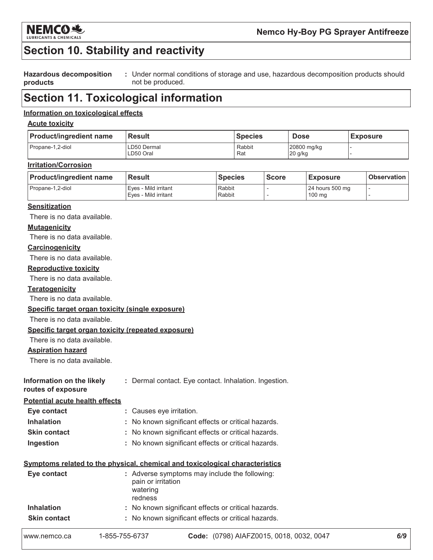

# **Section 10. Stability and reactivity**

**Hazardous decomposition** : Under normal conditions of storage and use, hazardous decomposition products should products not be produced.

# **Section 11. Toxicological information**

#### Information on toxicological effects

#### **Acute toxicity**

| <b>Product/ingredient name</b> | <b>Result</b>            | <b>Species</b> | <b>Dose</b>              | <b>Exposure</b> |
|--------------------------------|--------------------------|----------------|--------------------------|-----------------|
| Propane-1.2-diol               | LD50 Dermal<br>LD50 Oral | Rabbit<br>Rat  | 20800 mg/kg<br>$20$ g/kg |                 |

#### **Irritation/Corrosion**

| <b>Product/ingredient name</b> | ⊦Result                | <b>Species</b> | <b>Score</b> | <b>Exposure</b>  | <b>Observation</b> |
|--------------------------------|------------------------|----------------|--------------|------------------|--------------------|
| Propane-1.2-diol               | l Eves - Mild irritant | Rabbit         |              | 24 hours 500 mg  |                    |
|                                | Eves - Mild irritant   | Rabbit         |              | $100 \text{ ma}$ |                    |

#### **Sensitization**

There is no data available.

#### **Mutagenicity**

There is no data available.

#### Carcinogenicity

There is no data available.

#### **Reproductive toxicity**

There is no data available.

#### **Teratogenicity**

There is no data available.

#### Specific target organ toxicity (single exposure)

There is no data available.

#### Specific target organ toxicity (repeated exposure)

There is no data available.

#### **Aspiration hazard**

There is no data available.

| Information on the likely | : Dermal contact. Eye contact. Inhalation. Ingestion. |  |  |
|---------------------------|-------------------------------------------------------|--|--|
| routes of exposure        |                                                       |  |  |

#### **Potential acute health effects**

| Eye contact         | : Causes eye irritation.                            |
|---------------------|-----------------------------------------------------|
| <b>Inhalation</b>   | : No known significant effects or critical hazards. |
| <b>Skin contact</b> | : No known significant effects or critical hazards. |
| Ingestion           | : No known significant effects or critical hazards. |

#### Symptoms related to the physical, chemical and toxicological characteristics

| Eye contact         | : Adverse symptoms may include the following:<br>pain or irritation<br>watering<br>redness |
|---------------------|--------------------------------------------------------------------------------------------|
| <b>Inhalation</b>   | : No known significant effects or critical hazards.                                        |
| <b>Skin contact</b> | : No known significant effects or critical hazards.                                        |
|                     |                                                                                            |

| 1-855-755-6737<br>www.nemco.ca | Code: (0798) AIAFZ0015, 0018, 0032, 0047 |
|--------------------------------|------------------------------------------|
|--------------------------------|------------------------------------------|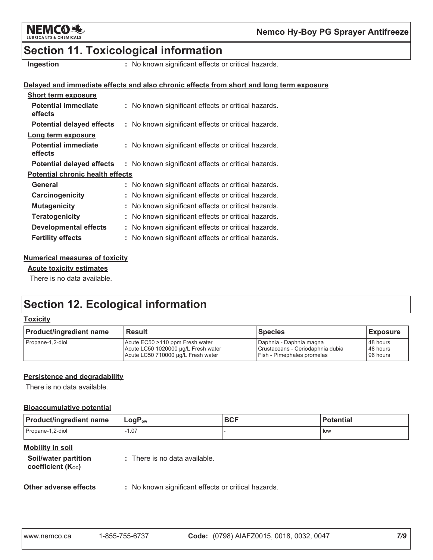

# **Section 11. Toxicological information**

Ingestion

: No known significant effects or critical hazards.

#### Delayed and immediate effects and also chronic effects from short and long term exposure

| <b>Short term exposure</b>              |                                                     |
|-----------------------------------------|-----------------------------------------------------|
| <b>Potential immediate</b><br>effects   | : No known significant effects or critical hazards. |
| <b>Potential delayed effects</b>        | : No known significant effects or critical hazards. |
| Long term exposure                      |                                                     |
| <b>Potential immediate</b><br>effects   | : No known significant effects or critical hazards. |
| <b>Potential delayed effects</b>        | : No known significant effects or critical hazards. |
| <b>Potential chronic health effects</b> |                                                     |
| General                                 | : No known significant effects or critical hazards. |
| Carcinogenicity                         | : No known significant effects or critical hazards. |
| <b>Mutagenicity</b>                     | No known significant effects or critical hazards.   |
| <b>Teratogenicity</b>                   | No known significant effects or critical hazards.   |
| <b>Developmental effects</b>            | No known significant effects or critical hazards.   |
| <b>Fertility effects</b>                | No known significant effects or critical hazards.   |

#### **Numerical measures of toxicity**

#### **Acute toxicity estimates**

There is no data available.

# **Section 12. Ecological information**

#### **Toxicity**

| <b>Product/ingredient name</b> | <b>Result</b><br><b>Species</b>     |                                  | <b>Exposure</b> |
|--------------------------------|-------------------------------------|----------------------------------|-----------------|
| Propane-1,2-diol               | Acute EC50 >110 ppm Fresh water     | Daphnia - Daphnia magna          | 48 hours        |
|                                | Acute LC50 1020000 µg/L Fresh water | Crustaceans - Ceriodaphnia dubia | 48 hours        |
|                                | Acute LC50 710000 µg/L Fresh water  | Fish - Pimephales promelas       | 96 hours        |

#### Persistence and degradability

There is no data available.

#### **Bioaccumulative potential**

| <b>Product/ingredient name</b> | $LogP_{ow}$ | <b>BCF</b> | <b>Potential</b> |
|--------------------------------|-------------|------------|------------------|
| Propane-1,2-diol               | $-1.07$     |            | l low            |

#### **Mobility in soil**

| Soil/water partition          | : There is no data available. |
|-------------------------------|-------------------------------|
| coefficient $(K_{\text{oc}})$ |                               |

#### Other adverse effects

: No known significant effects or critical hazards.

| www.nemco.ca | 1-855-755-6737 | Code: (0798) AIAFZ0015, 0018, 0032, 0047 |  |
|--------------|----------------|------------------------------------------|--|
|--------------|----------------|------------------------------------------|--|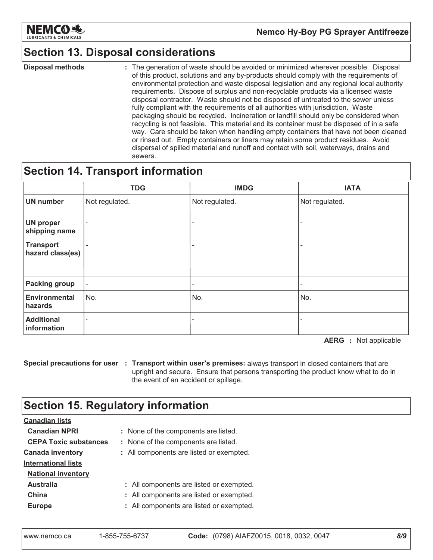

# **Section 13. Disposal considerations**

**Disposal methods** : The generation of waste should be avoided or minimized wherever possible. Disposal of this product, solutions and any by-products should comply with the requirements of environmental protection and waste disposal legislation and any regional local authority requirements. Dispose of surplus and non-recyclable products via a licensed waste disposal contractor. Waste should not be disposed of untreated to the sewer unless fully compliant with the requirements of all authorities with jurisdiction. Waste packaging should be recycled. Incineration or landfill should only be considered when recycling is not feasible. This material and its container must be disposed of in a safe way. Care should be taken when handling empty containers that have not been cleaned or rinsed out. Empty containers or liners may retain some product residues. Avoid dispersal of spilled material and runoff and contact with soil, waterways, drains and sewers.

### **Section 14. Transport information**

|                                      | <b>TDG</b>               | <b>IMDG</b>    | <b>IATA</b>              |
|--------------------------------------|--------------------------|----------------|--------------------------|
| <b>UN number</b>                     | Not regulated.           | Not regulated. | Not regulated.           |
| <b>UN proper</b><br>shipping name    | $\overline{\phantom{0}}$ |                | $\overline{\phantom{a}}$ |
| <b>Transport</b><br>hazard class(es) | -                        | -              |                          |
| <b>Packing group</b>                 | $\overline{\phantom{a}}$ | -              |                          |
| <b>Environmental</b><br>hazards      | No.                      | No.            | No.                      |
| <b>Additional</b><br>information     | $\overline{a}$           |                |                          |

**AERG** : Not applicable

Special precautions for user : Transport within user's premises: always transport in closed containers that are upright and secure. Ensure that persons transporting the product know what to do in the event of an accident or spillage.

# **Section 15. Regulatory information**

| <b>Canadian lists</b>        |                                          |
|------------------------------|------------------------------------------|
| <b>Canadian NPRI</b>         | : None of the components are listed.     |
| <b>CEPA Toxic substances</b> | : None of the components are listed.     |
| <b>Canada inventory</b>      | : All components are listed or exempted. |
| <b>International lists</b>   |                                          |
| <b>National inventory</b>    |                                          |
| <b>Australia</b>             | : All components are listed or exempted. |
| China                        | : All components are listed or exempted. |
| <b>Europe</b>                | : All components are listed or exempted. |